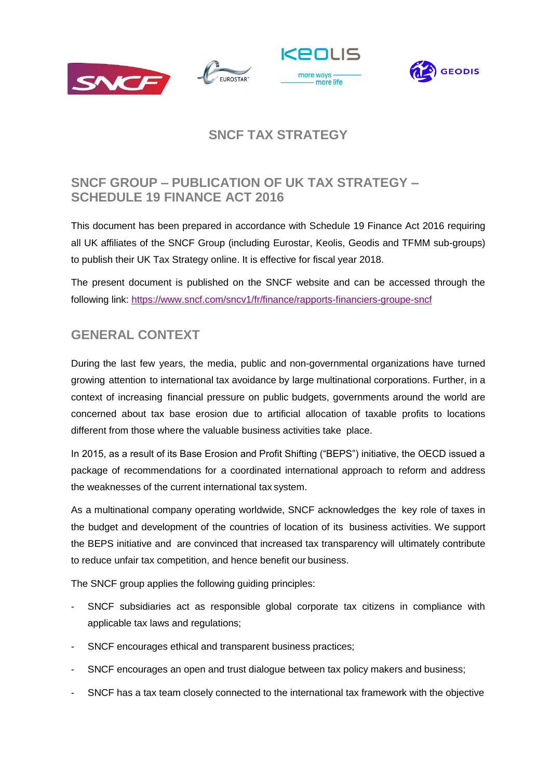







# **SNCF TAX STRATEGY**

# **SNCF GROUP – PUBLICATION OF UK TAX STRATEGY – SCHEDULE 19 FINANCE ACT 2016**

This document has been prepared in accordance with Schedule 19 Finance Act 2016 requiring all UK affiliates of the SNCF Group (including Eurostar, Keolis, Geodis and TFMM sub-groups) to publish their UK Tax Strategy online. It is effective for fiscal year 2018.

The present document is published on the SNCF website and can be accessed through the following link:<https://www.sncf.com/sncv1/fr/finance/rapports-financiers-groupe-sncf>

### **GENERAL CONTEXT**

During the last few years, the media, public and non-governmental organizations have turned growing attention to international tax avoidance by large multinational corporations. Further, in a context of increasing financial pressure on public budgets, governments around the world are concerned about tax base erosion due to artificial allocation of taxable profits to locations different from those where the valuable business activities take place.

In 2015, as a result of its Base Erosion and Profit Shifting ("BEPS") initiative, the OECD issued a package of recommendations for a coordinated international approach to reform and address the weaknesses of the current international tax system.

As a multinational company operating worldwide, SNCF acknowledges the key role of taxes in the budget and development of the countries of location of its business activities. We support the BEPS initiative and are convinced that increased tax transparency will ultimately contribute to reduce unfair tax competition, and hence benefit our business.

The SNCF group applies the following guiding principles:

- SNCF subsidiaries act as responsible global corporate tax citizens in compliance with applicable tax laws and regulations;
- SNCF encourages ethical and transparent business practices;
- SNCF encourages an open and trust dialogue between tax policy makers and business;
- SNCF has a tax team closely connected to the international tax framework with the objective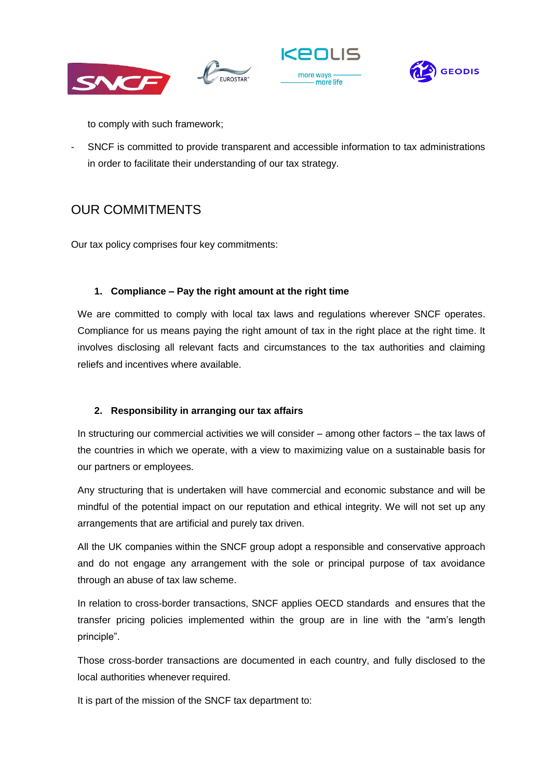







to comply with such framework;

- SNCF is committed to provide transparent and accessible information to tax administrations in order to facilitate their understanding of our tax strategy.

# OUR COMMITMENTS

Our tax policy comprises four key commitments:

### **1. Compliance – Pay the right amount at the right time**

We are committed to comply with local tax laws and regulations wherever SNCF operates. Compliance for us means paying the right amount of tax in the right place at the right time. It involves disclosing all relevant facts and circumstances to the tax authorities and claiming reliefs and incentives where available.

### **2. Responsibility in arranging our tax affairs**

In structuring our commercial activities we will consider – among other factors – the tax laws of the countries in which we operate, with a view to maximizing value on a sustainable basis for our partners or employees.

Any structuring that is undertaken will have commercial and economic substance and will be mindful of the potential impact on our reputation and ethical integrity. We will not set up any arrangements that are artificial and purely tax driven.

All the UK companies within the SNCF group adopt a responsible and conservative approach and do not engage any arrangement with the sole or principal purpose of tax avoidance through an abuse of tax law scheme.

In relation to cross-border transactions, SNCF applies OECD standards and ensures that the transfer pricing policies implemented within the group are in line with the "arm's length principle".

Those cross-border transactions are documented in each country, and fully disclosed to the local authorities whenever required.

It is part of the mission of the SNCF tax department to: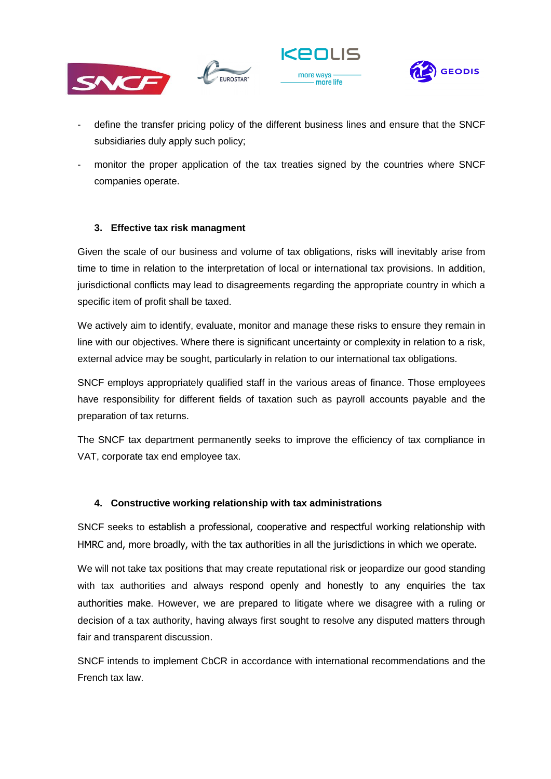







- define the transfer pricing policy of the different business lines and ensure that the SNCF subsidiaries duly apply such policy;
- monitor the proper application of the tax treaties signed by the countries where SNCF companies operate.

### **3. Effective tax risk managment**

Given the scale of our business and volume of tax obligations, risks will inevitably arise from time to time in relation to the interpretation of local or international tax provisions. In addition, jurisdictional conflicts may lead to disagreements regarding the appropriate country in which a specific item of profit shall be taxed.

We actively aim to identify, evaluate, monitor and manage these risks to ensure they remain in line with our objectives. Where there is significant uncertainty or complexity in relation to a risk, external advice may be sought, particularly in relation to our international tax obligations.

SNCF employs appropriately qualified staff in the various areas of finance. Those employees have responsibility for different fields of taxation such as payroll accounts payable and the preparation of tax returns.

The SNCF tax department permanently seeks to improve the efficiency of tax compliance in VAT, corporate tax end employee tax.

#### **4. Constructive working relationship with tax administrations**

SNCF seeks to establish a professional, cooperative and respectful working relationship with HMRC and, more broadly, with the tax authorities in all the jurisdictions in which we operate.

We will not take tax positions that may create reputational risk or jeopardize our good standing with tax authorities and always respond openly and honestly to any enquiries the tax authorities make. However, we are prepared to litigate where we disagree with a ruling or decision of a tax authority, having always first sought to resolve any disputed matters through fair and transparent discussion.

SNCF intends to implement CbCR in accordance with international recommendations and the French tax law.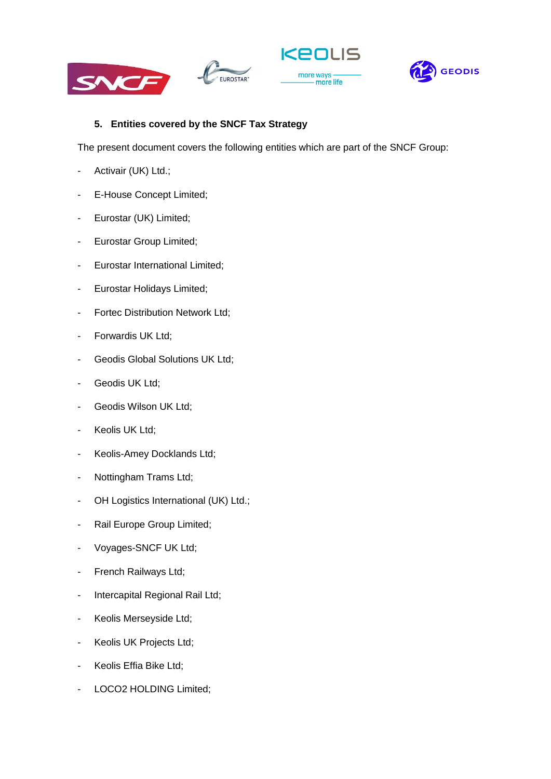





#### **5. Entities covered by the SNCF Tax Strategy**

EUROSTAR<sup>-</sup>

The present document covers the following entities which are part of the SNCF Group:

- Activair (UK) Ltd.;
- E-House Concept Limited;
- Eurostar (UK) Limited;
- Eurostar Group Limited;
- Eurostar International Limited;
- Eurostar Holidays Limited;
- Fortec Distribution Network Ltd;
- Forwardis UK Ltd;
- Geodis Global Solutions UK Ltd;
- Geodis UK Ltd;
- Geodis Wilson UK Ltd;
- Keolis UK Ltd;
- Keolis-Amey Docklands Ltd;
- Nottingham Trams Ltd;
- OH Logistics International (UK) Ltd.;
- Rail Europe Group Limited;
- Voyages-SNCF UK Ltd;
- French Railways Ltd;
- Intercapital Regional Rail Ltd;
- Keolis Merseyside Ltd;
- Keolis UK Projects Ltd;
- Keolis Effia Bike Ltd;
- LOCO2 HOLDING Limited;